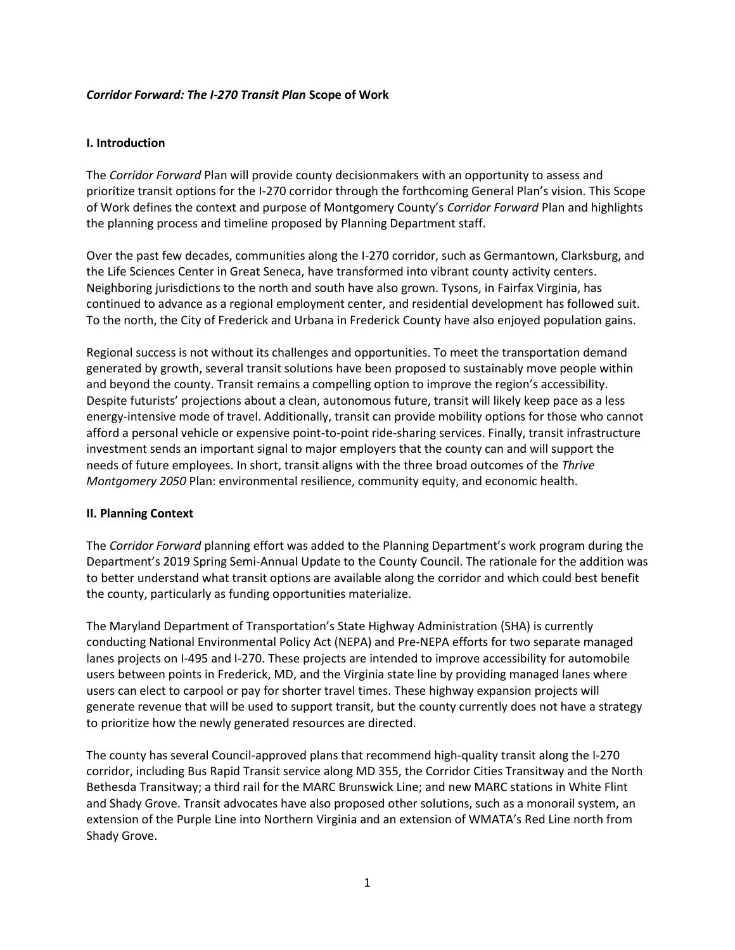#### *Corridor Forward: The I-270 Transit Plan* **Scope of Work**

#### **I. Introduction**

The *Corridor Forward* Plan will provide county decisionmakers with an opportunity to assess and prioritize transit options for the I-270 corridor through the forthcoming General Plan's vision. This Scope of Work defines the context and purpose of Montgomery County's *Corridor Forward* Plan and highlights the planning process and timeline proposed by Planning Department staff.

Over the past few decades, communities along the I-270 corridor, such as Germantown, Clarksburg, and the Life Sciences Center in Great Seneca, have transformed into vibrant county activity centers. Neighboring jurisdictions to the north and south have also grown. Tysons, in Fairfax Virginia, has continued to advance as a regional employment center, and residential development has followed suit. To the north, the City of Frederick and Urbana in Frederick County have also enjoyed population gains.

Regional success is not without its challenges and opportunities. To meet the transportation demand generated by growth, several transit solutions have been proposed to sustainably move people within and beyond the county. Transit remains a compelling option to improve the region's accessibility. Despite futurists' projections about a clean, autonomous future, transit will likely keep pace as a less energy-intensive mode of travel. Additionally, transit can provide mobility options for those who cannot afford a personal vehicle or expensive point-to-point ride-sharing services. Finally, transit infrastructure investment sends an important signal to major employers that the county can and will support the needs of future employees. In short, transit aligns with the three broad outcomes of the *Thrive Montgomery 2050* Plan: environmental resilience, community equity, and economic health.

#### **II. Planning Context**

The *Corridor Forward* planning effort was added to the Planning Department's work program during the Department's 2019 Spring Semi-Annual Update to the County Council. The rationale for the addition was to better understand what transit options are available along the corridor and which could best benefit the county, particularly as funding opportunities materialize.

The Maryland Department of Transportation's State Highway Administration (SHA) is currently conducting National Environmental Policy Act (NEPA) and Pre-NEPA efforts for two separate managed lanes projects on I-495 and I-270. These projects are intended to improve accessibility for automobile users between points in Frederick, MD, and the Virginia state line by providing managed lanes where users can elect to carpool or pay for shorter travel times. These highway expansion projects will generate revenue that will be used to support transit, but the county currently does not have a strategy to prioritize how the newly generated resources are directed.

The county has several Council-approved plans that recommend high-quality transit along the I-270 corridor, including Bus Rapid Transit service along MD 355, the Corridor Cities Transitway and the North Bethesda Transitway; a third rail for the MARC Brunswick Line; and new MARC stations in White Flint and Shady Grove. Transit advocates have also proposed other solutions, such as a monorail system, an extension of the Purple Line into Northern Virginia and an extension of WMATA's Red Line north from Shady Grove.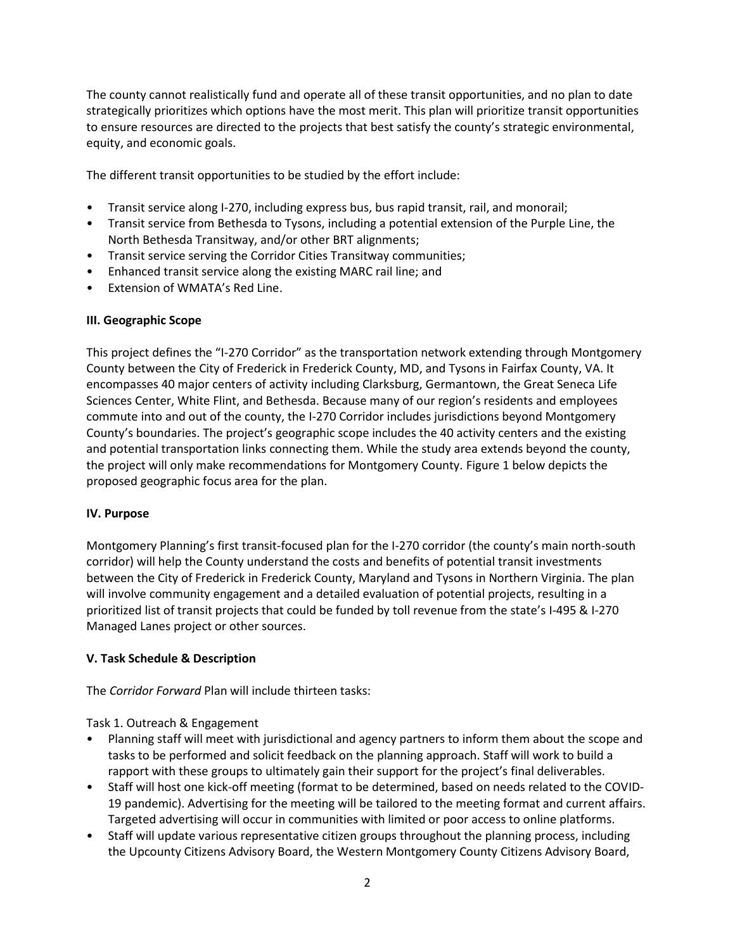The county cannot realistically fund and operate all of these transit opportunities, and no plan to date strategically prioritizes which options have the most merit. This plan will prioritize transit opportunities to ensure resources are directed to the projects that best satisfy the county's strategic environmental, equity, and economic goals.

The different transit opportunities to be studied by the effort include:

- Transit service along I-270, including express bus, bus rapid transit, rail, and monorail;
- Transit service from Bethesda to Tysons, including a potential extension of the Purple Line, the North Bethesda Transitway, and/or other BRT alignments;
- Transit service serving the Corridor Cities Transitway communities;
- Enhanced transit service along the existing MARC rail line; and
- Extension of WMATA's Red Line.

### **III. Geographic Scope**

This project defines the "I-270 Corridor" as the transportation network extending through Montgomery County between the City of Frederick in Frederick County, MD, and Tysons in Fairfax County, VA. It encompasses 40 major centers of activity including Clarksburg, Germantown, the Great Seneca Life Sciences Center, White Flint, and Bethesda. Because many of our region's residents and employees commute into and out of the county, the I-270 Corridor includes jurisdictions beyond Montgomery County's boundaries. The project's geographic scope includes the 40 activity centers and the existing and potential transportation links connecting them. While the study area extends beyond the county, the project will only make recommendations for Montgomery County. Figure 1 below depicts the proposed geographic focus area for the plan.

### **IV. Purpose**

Montgomery Planning's first transit-focused plan for the I-270 corridor (the county's main north-south corridor) will help the County understand the costs and benefits of potential transit investments between the City of Frederick in Frederick County, Maryland and Tysons in Northern Virginia. The plan will involve community engagement and a detailed evaluation of potential projects, resulting in a prioritized list of transit projects that could be funded by toll revenue from the state's I-495 & I-270 Managed Lanes project or other sources.

### **V. Task Schedule & Description**

The *Corridor Forward* Plan will include thirteen tasks:

Task 1. Outreach & Engagement

- Planning staff will meet with jurisdictional and agency partners to inform them about the scope and tasks to be performed and solicit feedback on the planning approach. Staff will work to build a rapport with these groups to ultimately gain their support for the project's final deliverables.
- Staff will host one kick-off meeting (format to be determined, based on needs related to the COVID-19 pandemic). Advertising for the meeting will be tailored to the meeting format and current affairs. Targeted advertising will occur in communities with limited or poor access to online platforms.
- Staff will update various representative citizen groups throughout the planning process, including the Upcounty Citizens Advisory Board, the Western Montgomery County Citizens Advisory Board,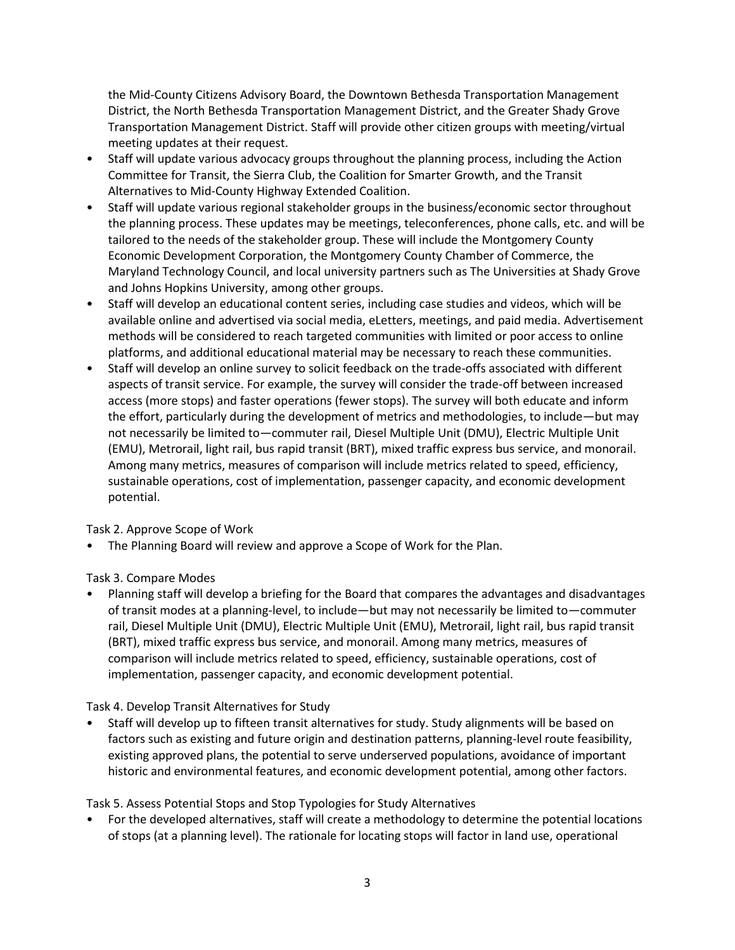the Mid-County Citizens Advisory Board, the Downtown Bethesda Transportation Management District, the North Bethesda Transportation Management District, and the Greater Shady Grove Transportation Management District. Staff will provide other citizen groups with meeting/virtual meeting updates at their request.

- Staff will update various advocacy groups throughout the planning process, including the Action Committee for Transit, the Sierra Club, the Coalition for Smarter Growth, and the Transit Alternatives to Mid-County Highway Extended Coalition.
- Staff will update various regional stakeholder groups in the business/economic sector throughout the planning process. These updates may be meetings, teleconferences, phone calls, etc. and will be tailored to the needs of the stakeholder group. These will include the Montgomery County Economic Development Corporation, the Montgomery County Chamber of Commerce, the Maryland Technology Council, and local university partners such as The Universities at Shady Grove and Johns Hopkins University, among other groups.
- Staff will develop an educational content series, including case studies and videos, which will be available online and advertised via social media, eLetters, meetings, and paid media. Advertisement methods will be considered to reach targeted communities with limited or poor access to online platforms, and additional educational material may be necessary to reach these communities.
- Staff will develop an online survey to solicit feedback on the trade-offs associated with different aspects of transit service. For example, the survey will consider the trade-off between increased access (more stops) and faster operations (fewer stops). The survey will both educate and inform the effort, particularly during the development of metrics and methodologies, to include—but may not necessarily be limited to—commuter rail, Diesel Multiple Unit (DMU), Electric Multiple Unit (EMU), Metrorail, light rail, bus rapid transit (BRT), mixed traffic express bus service, and monorail. Among many metrics, measures of comparison will include metrics related to speed, efficiency, sustainable operations, cost of implementation, passenger capacity, and economic development potential.

Task 2. Approve Scope of Work

• The Planning Board will review and approve a Scope of Work for the Plan.

Task 3. Compare Modes

• Planning staff will develop a briefing for the Board that compares the advantages and disadvantages of transit modes at a planning-level, to include—but may not necessarily be limited to—commuter rail, Diesel Multiple Unit (DMU), Electric Multiple Unit (EMU), Metrorail, light rail, bus rapid transit (BRT), mixed traffic express bus service, and monorail. Among many metrics, measures of comparison will include metrics related to speed, efficiency, sustainable operations, cost of implementation, passenger capacity, and economic development potential.

Task 4. Develop Transit Alternatives for Study

• Staff will develop up to fifteen transit alternatives for study. Study alignments will be based on factors such as existing and future origin and destination patterns, planning-level route feasibility, existing approved plans, the potential to serve underserved populations, avoidance of important historic and environmental features, and economic development potential, among other factors.

Task 5. Assess Potential Stops and Stop Typologies for Study Alternatives

• For the developed alternatives, staff will create a methodology to determine the potential locations of stops (at a planning level). The rationale for locating stops will factor in land use, operational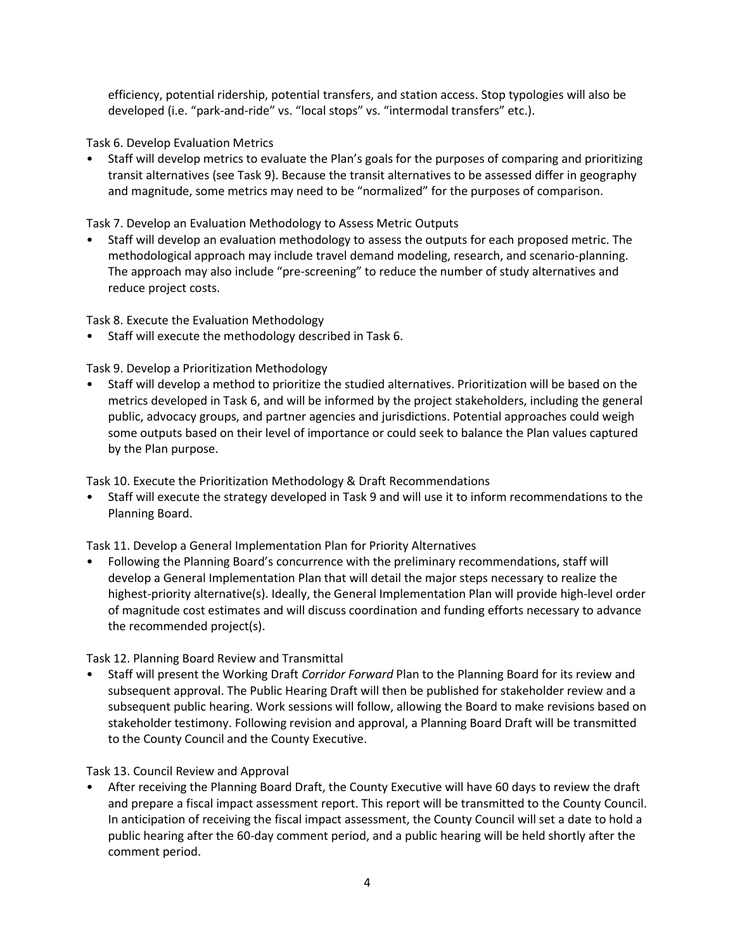efficiency, potential ridership, potential transfers, and station access. Stop typologies will also be developed (i.e. "park-and-ride" vs. "local stops" vs. "intermodal transfers" etc.).

Task 6. Develop Evaluation Metrics

• Staff will develop metrics to evaluate the Plan's goals for the purposes of comparing and prioritizing transit alternatives (see Task 9). Because the transit alternatives to be assessed differ in geography and magnitude, some metrics may need to be "normalized" for the purposes of comparison.

Task 7. Develop an Evaluation Methodology to Assess Metric Outputs

• Staff will develop an evaluation methodology to assess the outputs for each proposed metric. The methodological approach may include travel demand modeling, research, and scenario-planning. The approach may also include "pre-screening" to reduce the number of study alternatives and reduce project costs.

Task 8. Execute the Evaluation Methodology

• Staff will execute the methodology described in Task 6.

Task 9. Develop a Prioritization Methodology

• Staff will develop a method to prioritize the studied alternatives. Prioritization will be based on the metrics developed in Task 6, and will be informed by the project stakeholders, including the general public, advocacy groups, and partner agencies and jurisdictions. Potential approaches could weigh some outputs based on their level of importance or could seek to balance the Plan values captured by the Plan purpose.

Task 10. Execute the Prioritization Methodology & Draft Recommendations

• Staff will execute the strategy developed in Task 9 and will use it to inform recommendations to the Planning Board.

Task 11. Develop a General Implementation Plan for Priority Alternatives

• Following the Planning Board's concurrence with the preliminary recommendations, staff will develop a General Implementation Plan that will detail the major steps necessary to realize the highest-priority alternative(s). Ideally, the General Implementation Plan will provide high-level order of magnitude cost estimates and will discuss coordination and funding efforts necessary to advance the recommended project(s).

Task 12. Planning Board Review and Transmittal

• Staff will present the Working Draft *Corridor Forward* Plan to the Planning Board for its review and subsequent approval. The Public Hearing Draft will then be published for stakeholder review and a subsequent public hearing. Work sessions will follow, allowing the Board to make revisions based on stakeholder testimony. Following revision and approval, a Planning Board Draft will be transmitted to the County Council and the County Executive.

Task 13. Council Review and Approval

• After receiving the Planning Board Draft, the County Executive will have 60 days to review the draft and prepare a fiscal impact assessment report. This report will be transmitted to the County Council. In anticipation of receiving the fiscal impact assessment, the County Council will set a date to hold a public hearing after the 60-day comment period, and a public hearing will be held shortly after the comment period.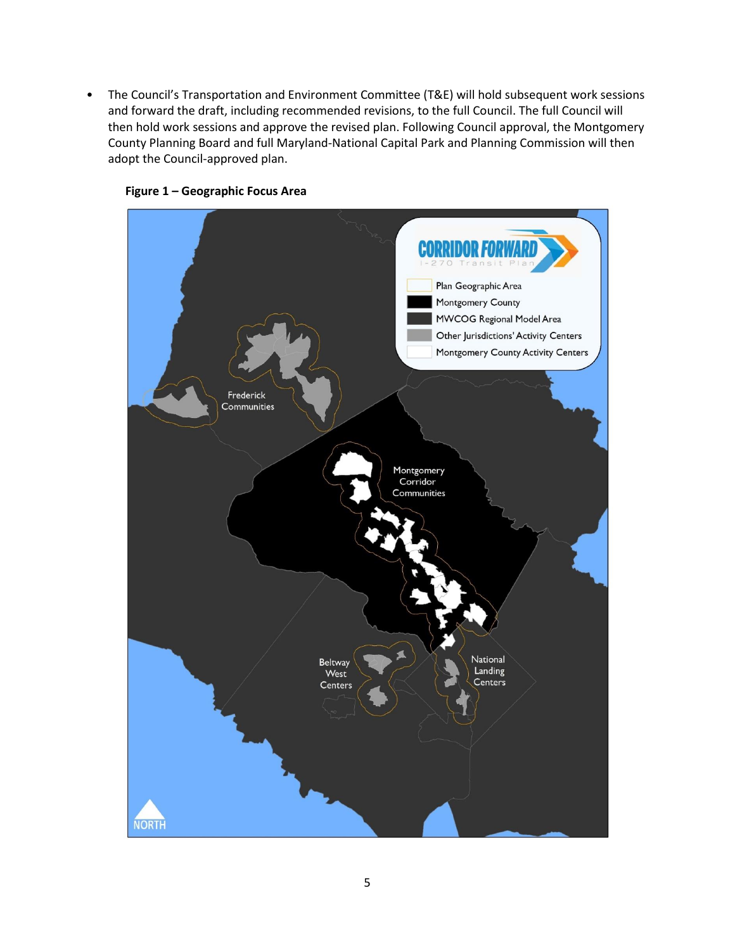• The Council's Transportation and Environment Committee (T&E) will hold subsequent work sessions and forward the draft, including recommended revisions, to the full Council. The full Council will then hold work sessions and approve the revised plan. Following Council approval, the Montgomery County Planning Board and full Maryland-National Capital Park and Planning Commission will then adopt the Council-approved plan.



### **Figure 1 – Geographic Focus Area**